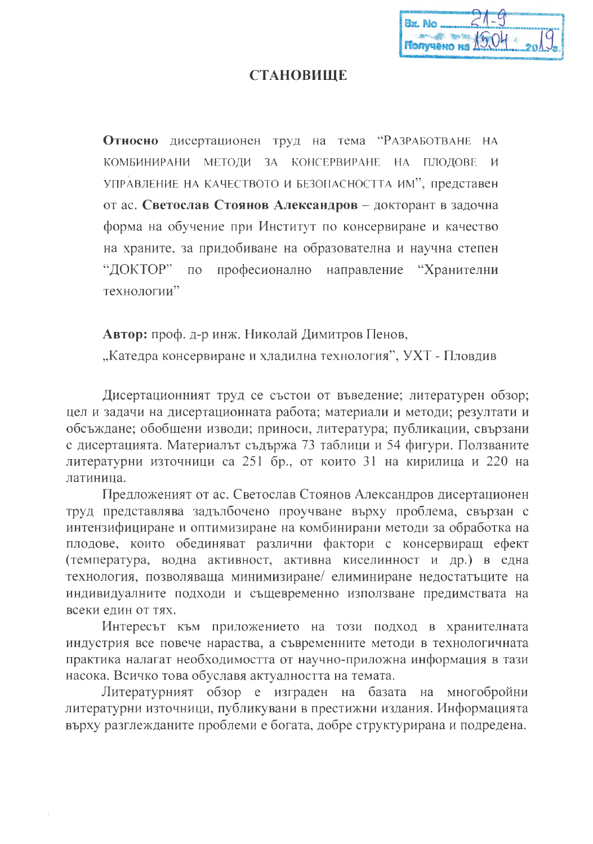| $f$ Tonyueno na $f$ 904 $g$ |  |
|-----------------------------|--|

## **СТАНОВИШЕ**

Относно дисертационен труд на тема "РАЗРАБОТВАНЕ НА КОМБИНИРАНИ МЕТОДИ ЗА КОНСЕРВИРАНЕ НА ПЛОДОВЕ И УПРАВЛЕНИЕ НА КАЧЕСТВОТО И БЕЗОПАСНОСТТА ИМ", представен от ас. Светослав Стоянов Александров - докторант в задочна форма на обучение при Институт по консервиране и качество на храните, за придобиване на образователна и научна степен "ДОКТОР"  $\overline{10}$ професионално направление "Хранителни технологии"

Автор: проф. д-р инж. Николай Димитров Пенов, "Катедра консервиране и хладилна технология", УХТ - Пловдив

Дисертационният труд се състои от въведение; литературен обзор; цел и задачи на дисертационната работа; материали и методи; резултати и обсъждане; обобщени изводи; приноси, литература; публикации, свързани с дисертацията. Материалът съдържа 73 таблици и 54 фигури. Ползваните литературни източници са 251 бр., от които 31 на кирилица и 220 на латиница.

Предложеният от ас. Светослав Стоянов Александров дисертационен труд представлява задълбочено проучване върху проблема, свързан с интензифициране и оптимизиране на комбинирани методи за обработка на плодове, които обединяват различни фактори с консервиращ ефект (температура, водна активност, активна киселинност и др.) в една технология, позволяваща минимизиране/ елиминиране недостатьците на индивидуалните подходи и същевременно използване предимствата на всеки един от тях.

Интересът към приложението на този подход в хранителната индустрия все повече нараства, а съвременните методи в технологичната практика налагат необходимостта от научно-приложна информация в тази насока. Всичко това обуславя актуалността на темата.

Литературният обзор е изграден на базата на многобройни литературни източници, публикувани в престижни издания. Информацията върху разглежданите проблеми е богата, добре структурирана и подредена.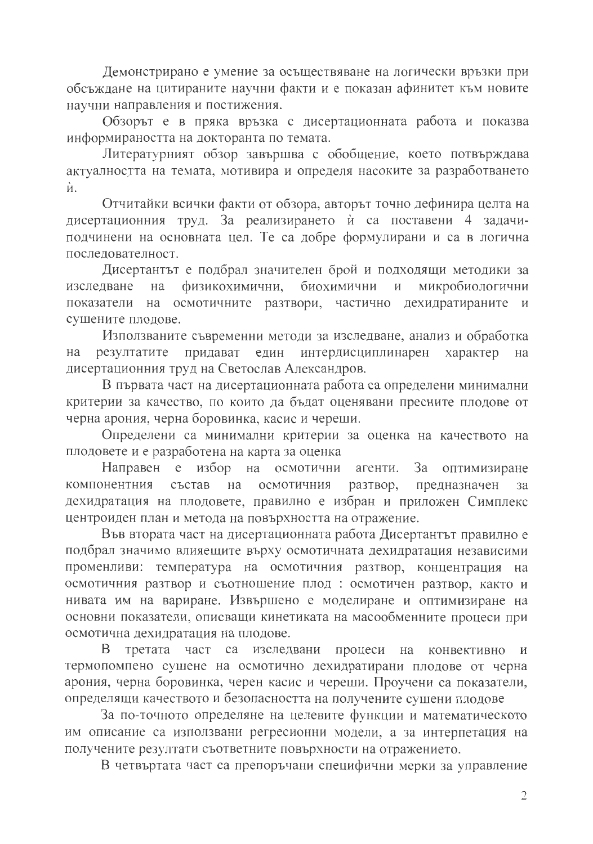Демонстрирано е умение за осъществяване на логически връзки при обсъждане на цитираните научни факти и е показан афинитет към новите научни направления и постижения.

Обзорът е в пряка връзка с дисертационната работа и показва информираността на докторанта по темата.

Литературният обзор завършва с обобщение, което потвърждава актуалността на темата, мотивира и определя насоките за разработването ѝ.

Отчитайки всички факти от обзора, авторът точно дефинира целта на дисертационния труд. За реализирането и са поставени 4 задачиподчинени на основната цел. Те са добре формулирани и са в логична последователност.

Дисертантът е подбрал значителен брой и подходящи методики за физикохимични, биохимични  $H$ микробиологични изследване на на осмотичните разтвори, частично дехидратираните и показатели сушените плодове.

Използваните съвременни методи за изследване, анализ и обработка резултатите придават един интердисциплинарен характер на на дисертационния труд на Светослав Александров.

В първата част на дисертационната работа са определени минимални критерии за качество, по които да бъдат оценявани пресните плодове от черна арония, черна боровинка, касис и череши.

Определени са минимални критерии за оценка на качеството на плодовете и е разработена на карта за оценка

Направен е избор на 3a осмотични агенти. оптимизиране осмотичния предназначен компонентния състав на разтвор, за дехидратация на плодовете, правилно е избран и приложен Симплекс центроиден план и метода на повърхността на отражение.

Във втората част на дисертационната работа Дисертантът правилно е подбрал значимо влияещите върху осмотичната дехидратация независими променливи: температура на осмотичния разтвор, концентрация на осмотичния разтвор и съотношение плод : осмотичен разтвор, както и нивата им на вариране. Извършено е моделиране и оптимизиране на основни показатели, описващи кинетиката на масообменните процеси при осмотична дехидратация на плодове.

 $\mathbf{B}$ третата част са изследвани процеси на конвективно  $\overline{M}$ термопомпено сушене на осмотично дехидратирани плодове от черна арония, черна боровинка, черен касис и череши. Проучени са показатели, определящи качеството и безопасността на получените сушени плодове

За по-точното определяне на целевите функции и математическото им описание са използвани регресионни модели, а за интерпетация на получените резултати съответните повърхности на отражението.

В четвъртата част са препоръчани специфични мерки за управление